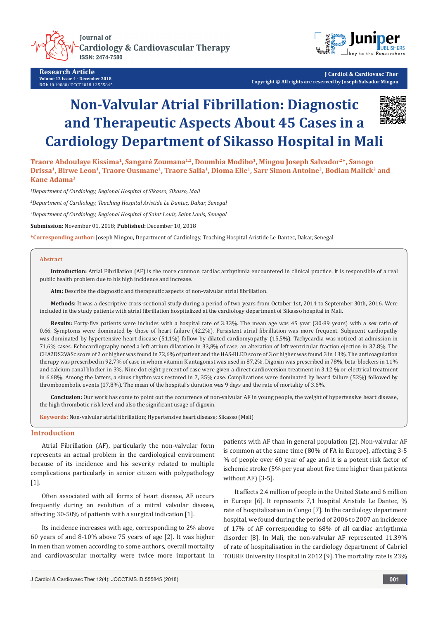

**Research Article Volume 12 Issue 4 - December 2018 DOI:** [10.19080/JOCCT.2018.12.555845](http://dx.doi.org/10.19080/JOCCT.2018.12.555845)



**J Cardiol & Cardiovasc Ther Copyright © All rights are reserved by Joseph Salvador Mingou**

# **Non-Valvular Atrial Fibrillation: Diagnostic and Therapeutic Aspects About 45 Cases in a Cardiology Department of Sikasso Hospital in Mali**



**Traore Abdoulaye Kissima1, Sangaré Zoumana1,2, Doumbia Modibo1, Mingou Joseph Salvador2\*, Sanogo Drissa1, Birwe Leon1, Traore Ousmane1, Traore Salia1, Dioma Elie1, Sarr Simon Antoine2, Bodian Malick2 and Kane Adama3**

*1 Department of Cardiology, Regional Hospital of Sikasso, Sikasso, Mali*

*2 Department of Cardiology, Teaching Hospital Aristide Le Dantec, Dakar, Senegal*

*3 Department of Cardiology, Regional Hospital of Saint Louis, Saint Louis, Senegal*

**Submission:** November 01, 2018; **Published:** December 10, 2018

**\*Corresponding author:** Joseph Mingou, Department of Cardiology, Teaching Hospital Aristide Le Dantec, Dakar, Senegal

#### **Abstract**

**Introduction:** Atrial Fibrillation (AF) is the more common cardiac arrhythmia encountered in clinical practice. It is responsible of a real public health problem due to his high incidence and increase.

**Aim:** Describe the diagnostic and therapeutic aspects of non-valvular atrial fibrillation.

**Methods:** It was a descriptive cross-sectional study during a period of two years from October 1st, 2014 to September 30th, 2016. Were included in the study patients with atrial fibrillation hospitalized at the cardiology department of Sikasso hospital in Mali.

**Results:** Forty-five patients were includes with a hospital rate of 3.33%. The mean age was 45 year (30-89 years) with a sex ratio of 0.66. Symptoms were dominated by those of heart failure (42.2%). Persistent atrial fibrillation was more frequent. Subjacent cardiopathy was dominated by hypertensive heart disease (51,1%) follow by dilated cardiomyopathy (15,5%). Tachycardia was noticed at admission in 71,6% cases. Echocardiography noted a left atrium dilatation in 33,8% of case, an alteration of left ventricular fraction ejection in 37.8%. The CHA2DS2VASc score of 2 or higher was found in 72,6% of patient and the HAS-BLED score of 3 or higher was found 3 in 13%. The anticoagulation therapy was prescribed in 92,7% of case in whom vitamin K antagonist was used in 87,2%. Digoxin was prescribed in 78%, beta-blockers in 11% and calcium canal blocker in 3%. Nine dot eight percent of case were given a direct cardioversion treatment in 3,12 % or electrical treatment in 6.68%. Among the latters, a sinus rhythm was restored in 7, 35% case. Complications were dominated by heard failure (52%) followed by thromboembolic events (17,8%). The mean of the hospital's duration was 9 days and the rate of mortality of 3.6%.

**Conclusion:** Our work has come to point out the occurrence of non-valvular AF in young people, the weight of hypertensive heart disease, the high thrombotic risk level and also the significant usage of digoxin.

**Keywords:** Non-valvular atrial fibrillation; Hypertensive heart disease; Sikasso (Mali)

#### **Introduction**

Atrial Fibrillation (AF), particularly the non-valvular form represents an actual problem in the cardiological environment because of its incidence and his severity related to multiple complications particularly in senior citizen with polypathology [1].

Often associated with all forms of heart disease, AF occurs frequently during an evolution of a mitral valvular disease, affecting 30-50% of patients with a surgical indication [1].

Its incidence increases with age, corresponding to 2% above 60 years of and 8-10% above 75 years of age [2]. It was higher in men than women according to some authors, overall mortality and cardiovascular mortality were twice more important in patients with AF than in general population [2]. Non-valvular AF is common at the same time (80% of FA in Europe), affecting 3-5 % of people over 60 year of age and it is a potent risk factor of ischemic stroke (5% per year about five time higher than patients without AF) [3-5].

It affects 2.4 million of people in the United State and 6 million in Europe [6]. It represents 7,1 hospital Aristide Le Dantec, % rate of hospitalisation in Congo [7]. In the cardiology department hospital, we found during the period of 2006 to 2007 an incidence of 17% of AF corresponding to 68% of all cardiac arrhythmia disorder [8]. In Mali, the non-valvular AF represented 11.39% of rate of hospitalisation in the cardiology department of Gabriel TOURE University Hospital in 2012 [9]. The mortality rate is 23%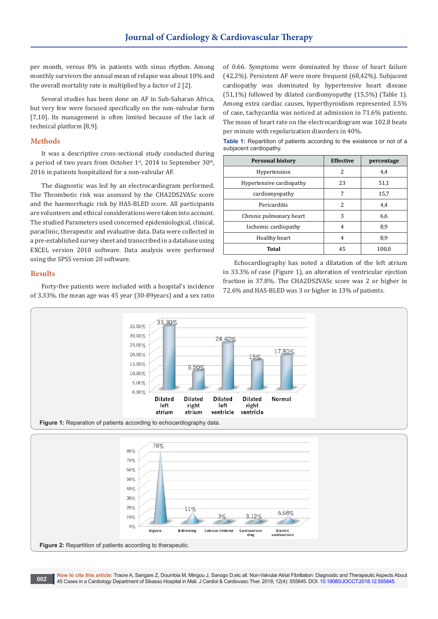subjacent cardiopathy.

per month, versus 8% in patients with sinus rhythm. Among monthly survivors the annual mean of relapse was about 10% and the overall mortality rate is multiplied by a factor of 2 [2].

Several studies has been done on AF in Sub-Saharan Africa, but very few were focused specifically on the non-valvular form [7,10]. Its management is often limited because of the lack of technical platform [8,9].

# **Methods**

It was a descriptive cross-sectional study conducted during a period of two years from October  $1<sup>st</sup>$ , 2014 to September 30<sup>th</sup>, 2016 in patients hospitalized for a non-valvular AF.

The diagnostic was led by an electrocardiogram performed. The Thrombotic risk was assessed by the CHA2DS2VASc score and the haemorrhagic risk by HAS-BLED score. All participants are volunteers and ethical considerations were taken into account. The studied Parameters used concerned epidemiological, clinical, paraclinic, therapeutic and evaluative data. Data were collected in a pre-established survey sheet and transcribed in a database using EXCEL version 2010 software. Data analysis were performed using the SPSS version 20 software.

#### **Results**

Forty-five patients were included with a hospital's incidence of 3.33%. the mean age was 45 year (30-89years) and a sex ratio

of 0.66. Symptoms were dominated by those of heart failure (42,2%). Persistent AF were more frequent (68,42%). Subjacent cardiopathy was dominated by hypertensive heart disease (51,1%) followed by dilated cardiomyopathy (15,5%) (Table 1). Among extra cardiac causes, hyperthyroidism represented 3.5% of case, tachycardia was noticed at admission in 71.6% patients. The mean of heart rate on the electrocardiogram was 102.8 beats per minute with repolarization disorders in 40%.

**Table 1:** Repartition of patients according to the existence or not of a

| <b>SUDJAVOITE VALUIDPALITY.</b> |                  |            |
|---------------------------------|------------------|------------|
| <b>Personal history</b>         | <b>Effective</b> | percentage |
| Hypertension                    | 2                | 4.4        |
| Hypertensive cardiopathy        | 23               | 51,1       |
| cardiomyopathy                  | 7                | 15,7       |
| Pericarditis                    | 2                | 4,4        |
| Chronic pulmonary heart         | 3                | 6,6        |
| Ischemic cardiopathy            | 4                | 8,9        |
| Healthy heart                   | 4                | 8,9        |
| Total                           | 45               | 1በበ በ      |

**Total** 45 100,0 Echocardiography has noted a dilatation of the left atrium in 33.3% of case (Figure 1), an alteration of ventricular ejection fraction in 37.8%. The CHA2DS2VASc score was 2 or higher in

72.6% and HAS-BLED was 3 or higher in 13% of patients.



**Figure 2:** Repartition of patients according to therapeutic.

 $10%$  $0%$ 

Digoxin

**B-Blocking** 

**How to cite this article:** Traore A, Sangare Z, Doumbia M, Mingou J, Sanogo D,etc all. Non-Valvular Atrial Fibrillation: Diagnostic and Therapeutic Aspects About 16 The Cases in a Cardiology Department of Sikasso Hospital in Mali. J Cardiol & Cardiovasc Ther. 2018; 12(4): 555845. DOI: [10.19080/JOCCT.2018.12.555845](http://dx.doi.org/10.19080/JOCCT.2018.12.555845).

3%

Calcium inhibitor

3,12%

Cardioversion

drug

Electric<br>cardioversion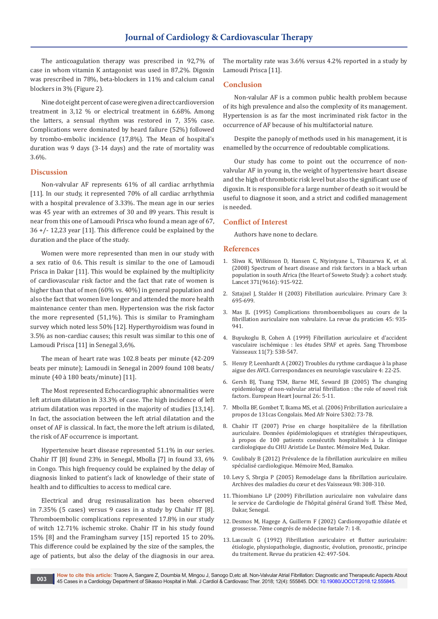The anticoagulation therapy was prescribed in 92,7% of case in whom vitamin K antagonist was used in 87,2%. Digoxin was prescribed in 78%, beta-blockers in 11% and calcium canal blockers in 3% (Figure 2).

Nine dot eight percent of case were given a direct cardioversion treatment in 3,12 % or electrical treatment in 6.68%. Among the latters, a sensual rhythm was restored in 7, 35% case. Complications were dominated by heard failure (52%) followed by trombo-embolic incidence (17,8%). The Mean of hospital's duration was 9 days (3-14 days) and the rate of mortality was 3.6%.

#### **Discussion**

Non-valvular AF represents 61% of all cardiac arrhythmia [11]. In our study, it represented 70% of all cardiac arrhythmia with a hospital prevalence of 3.33%. The mean age in our series was 45 year with an extremes of 30 and 89 years. This result is near from this one of Lamoudi Prisca who found a mean age of 67, 36 +/- 12,23 year [11]. This difference could be explained by the duration and the place of the study.

Women were more represented than men in our study with a sex ratio of 0.6. This result is similar to the one of Lamoudi Prisca in Dakar [11]. This would be explained by the multiplicity of cardiovascular risk factor and the fact that rate of women is higher than that of men (60% vs. 40%) in general population and also the fact that women live longer and attended the more health maintenance center than men. Hypertension was the risk factor the more represented (51,1%). This is similar to Framingham survey which noted less 50% [12]. Hyperthyroidism was found in 3.5% as non-cardiac causes; this result was similar to this one of Lamoudi Prisca [11] in Senegal 3,6%.

The mean of heart rate was 102.8 beats per minute (42-209 beats per minute); Lamoudi in Senegal in 2009 found 108 beats/ minute (40 à 180 beats/minute) [11].

The Most represented Echocardiographic abnormalities were left atrium dilatation in 33.3% of case. The high incidence of left atrium dilatation was reported in the majority of studies [13,14]. In fact, the association between the left atrial dilatation and the onset of AF is classical. In fact, the more the left atrium is dilated, the risk of AF occurrence is important.

Hypertensive heart disease represented 51.1% in our series. Chahir IT [8] found 23% in Senegal, Mbolla [7] in found 33, 6% in Congo. This high frequency could be explained by the delay of diagnosis linked to patient's lack of knowledge of their state of health and to difficulties to access to medical care.

Electrical and drug resinusalization has been observed in 7.35% (5 cases) versus 9 cases in a study by Chahir IT [8]. Thromboembolic complications represented 17.8% in our study of witch 12.71% ischemic stroke. Chahir IT in his study found 15% [8] and the Framingham survey [15] reported 15 to 20%. This difference could be explained by the size of the samples, the age of patients, but also the delay of the diagnosis in our area.

The mortality rate was 3.6% versus 4.2% reported in a study by Lamoudi Prisca [11].

## **Conclusion**

Non-valular AF is a common public health problem because of its high prevalence and also the complexity of its management. Hypertension is as far the most incriminated risk factor in the occurrence of AF because of his multifactorial nature.

Despite the panoply of methods used in his management, it is enamelled by the occurrence of redoubtable complications.

Our study has come to point out the occurrence of nonvalvular AF in young in, the weight of hypertensive heart disease and the high of thrombotic risk level but also the significant use of digoxin. It is responsible for a large number of death so it would be useful to diagnose it soon, and a strict and codified management is needed.

## **Conflict of Interest**

Authors have none to declare.

#### **References**

- 1. [Sliwa K, Wilkinson D, Hansen C, Ntyintyane L, Tibazarwa K, et al.](https://www.ncbi.nlm.nih.gov/pubmed/18342686)  [\(2008\) Spectrum of heart disease and risk farctors in a black urban](https://www.ncbi.nlm.nih.gov/pubmed/18342686)  [population in south Africa \(the Heart of Soweto Study\): a cohort study.](https://www.ncbi.nlm.nih.gov/pubmed/18342686)  [Lancet 371\(9616\): 915-922.](https://www.ncbi.nlm.nih.gov/pubmed/18342686)
- 2. Sztajzel J, Stalder H (2003) Fibrillation auriculaire. Primary Care 3: 695-699.
- 3. Mas JL (1995) Complications thromboemboliques au cours de la fibrillation auriculaire non valvulaire. La revue du praticien 45: 935- 941.
- 4. [Buyukoglu B, Cohen A \(1999\) Fibrillation auriculaire et d'accident](https://www.jle.com/fr/revues/stv/e-docs/fibrillation_auriculaire_et_risque_daccident_vasculaire_ischemique_les_etudes_spaf_et_apres_250528/article.phtml)  vasculaire ischémique [: les études SPAF et après. Sang Thrombose](https://www.jle.com/fr/revues/stv/e-docs/fibrillation_auriculaire_et_risque_daccident_vasculaire_ischemique_les_etudes_spaf_et_apres_250528/article.phtml)  [Vaisseaux 11\(7\): 538-547.](https://www.jle.com/fr/revues/stv/e-docs/fibrillation_auriculaire_et_risque_daccident_vasculaire_ischemique_les_etudes_spaf_et_apres_250528/article.phtml)
- 5. [Henry P, Leenhardt A \(2002\) Troubles du rythme cardiaque à la phase](http://www.attaquecerebrale.org/ADOC/pdf/DossierUrgCardio2_TrRythm.pdf)  [aigue des AVCI. Correspondances en neurologie vasculaire 4: 22-25.](http://www.attaquecerebrale.org/ADOC/pdf/DossierUrgCardio2_TrRythm.pdf)
- 6. [Gersh BJ, Tsang TSM, Barne ME, Seward JB \(2005\) The changing](https://academic.oup.com/eurheartjsupp/article/7/suppl_C/C5/456469)  [epidemiology of non-valvular atrial fibrillation](https://academic.oup.com/eurheartjsupp/article/7/suppl_C/C5/456469) : the role of novel risk [factors. European Heart Journal 26: 5-11.](https://academic.oup.com/eurheartjsupp/article/7/suppl_C/C5/456469)
- 7. Mbolla BF, Gombet T, Ikama MS, et al. (2006) Fribrillation auriculaire a propos de 131cas Congolais. Med Afr Noire 5302: 73-78.
- 8. Chahir IT (2007) Prise en charge hospitalière de la fibrillation auriculaire. Données épidémiologiques et stratégies thérapeutiques, à propos de 100 patients consécutifs hospitalisés à la clinique cardiologique du CHU Aristide Le Dantec. Mémoire Med, Dakar.
- 9. Coulibaly B (2012) Prévalence de la fibrillation auriculaire en milieu spécialisé cardiologique. Mémoire Med, Bamako.
- 10. Levy S, Sbrgia P (2005) Remodelage dans la fibrillation auriculaire. Archives des maladies du cœur et des Vaisseaux 98: 308-310.
- 11. Thiombiano LP (2009) Fibrillation auriculaire non valvulaire dans le service de Cardiologie de l'hôpital général Grand Yoff. Thèse Med, Dakar, Senegal.
- 12. Desmos M, Hagege A, Guillerm F (2002) Cardiomyopathie dilatée et grossesse. 7ème congrés de médecine fœtale 7: 1-8.
- 13. Lascault G (1992) Fibrillation auriculaire et flutter auriculaire: étiologie, physiopathologie, diagnostic, évolution, pronostic, principe du traitement. Revue du praticien 42: 497-504.